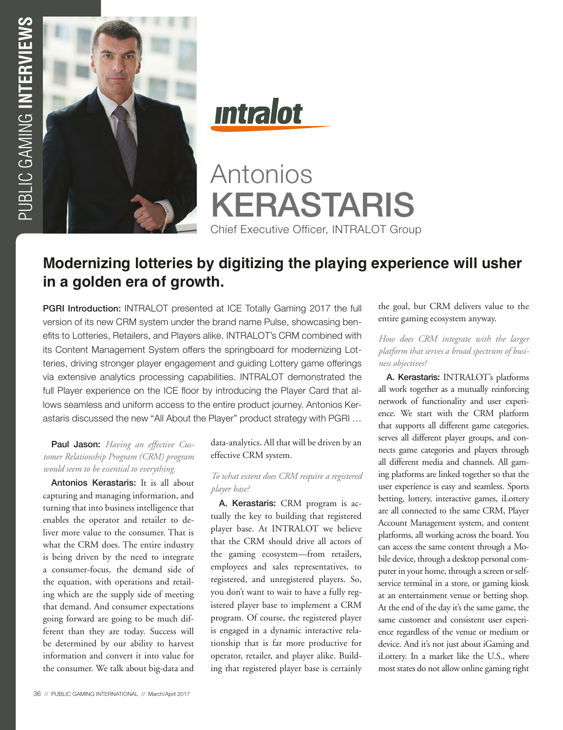

**Intralot** 

Antonios KERASTARIS Chief Executive Officer, INTRALOT Group

# **Modernizing lotteries by digitizing the playing experience will usher in a golden era of growth.**

PGRI Introduction: INTRALOT presented at ICE Totally Gaming 2017 the full version of its new CRM system under the brand name Pulse, showcasing benefits to Lotteries, Retailers, and Players alike. INTRALOT's CRM combined with its Content Management System offers the springboard for modernizing Lotteries, driving stronger player engagement and guiding Lottery game offerings via extensive analytics processing capabilities. INTRALOT demonstrated the full Player experience on the ICE floor by introducing the Player Card that allows seamless and uniform access to the entire product journey. Antonios Kerastaris discussed the new "All About the Player" product strategy with PGRI …

# Paul Jason: *Having an effective Customer Relationship Program (CRM) program would seem to be essential to everything.*

Antonios Kerastaris: It is all about capturing and managing information, and turning that into business intelligence that enables the operator and retailer to deliver more value to the consumer. That is what the CRM does. The entire industry is being driven by the need to integrate a consumer-focus, the demand side of the equation, with operations and retailing which are the supply side of meeting that demand. And consumer expectations going forward are going to be much different than they are today. Success will be determined by our ability to harvest information and convert it into value for the consumer. We talk about big-data and data-analytics. All that will be driven by an effective CRM system.

### *To what extent does CRM require a registered player base?*

A. Kerastaris: CRM program is actually the key to building that registered player base. At INTRALOT we believe that the CRM should drive all actors of the gaming ecosystem—from retailers, employees and sales representatives, to registered, and unregistered players. So, you don't want to wait to have a fully registered player base to implement a CRM program. Of course, the registered player is engaged in a dynamic interactive relationship that is far more productive for operator, retailer, and player alike. Building that registered player base is certainly

the goal, but CRM delivers value to the entire gaming ecosystem anyway.

*How does CRM integrate with the larger platform that serves a broad spectrum of business objectives?* 

A. Kerastaris: INTRALOT's platforms all work together as a mutually reinforcing network of functionality and user experience. We start with the CRM platform that supports all different game categories, serves all different player groups, and connects game categories and players through all different media and channels. All gaming platforms are linked together so that the user experience is easy and seamless. Sports betting, lottery, interactive games, iLottery are all connected to the same CRM, Player Account Management system, and content platforms, all working across the board. You can access the same content through a Mobile device, through a desktop personal computer in your home, through a screen or selfservice terminal in a store, or gaming kiosk at an entertainment venue or betting shop. At the end of the day it's the same game, the same customer and consistent user experience regardless of the venue or medium or device. And it's not just about iGaming and iLottery. In a market like the U.S., where most states do not allow online gaming right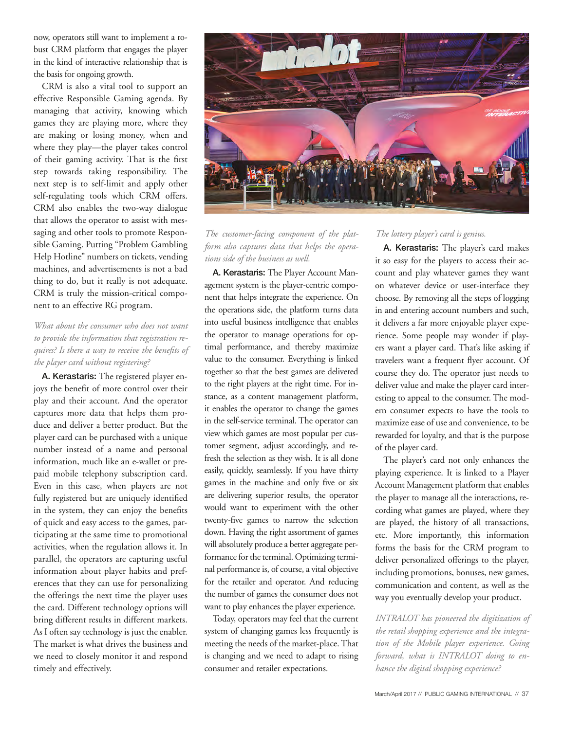now, operators still want to implement a robust CRM platform that engages the player in the kind of interactive relationship that is the basis for ongoing growth.

CRM is also a vital tool to support an effective Responsible Gaming agenda. By managing that activity, knowing which games they are playing more, where they are making or losing money, when and where they play—the player takes control of their gaming activity. That is the first step towards taking responsibility. The next step is to self-limit and apply other self-regulating tools which CRM offers. CRM also enables the two-way dialogue that allows the operator to assist with messaging and other tools to promote Responsible Gaming. Putting "Problem Gambling Help Hotline" numbers on tickets, vending machines, and advertisements is not a bad thing to do, but it really is not adequate. CRM is truly the mission-critical component to an effective RG program.

# *What about the consumer who does not want to provide the information that registration requires? Is there a way to receive the benefits of the player card without registering?*

A. Kerastaris: The registered player enjoys the benefit of more control over their play and their account. And the operator captures more data that helps them produce and deliver a better product. But the player card can be purchased with a unique number instead of a name and personal information, much like an e-wallet or prepaid mobile telephony subscription card. Even in this case, when players are not fully registered but are uniquely identified in the system, they can enjoy the benefits of quick and easy access to the games, participating at the same time to promotional activities, when the regulation allows it. In parallel, the operators are capturing useful information about player habits and preferences that they can use for personalizing the offerings the next time the player uses the card. Different technology options will bring different results in different markets. As I often say technology is just the enabler. The market is what drives the business and we need to closely monitor it and respond timely and effectively.



*The customer-facing component of the platform also captures data that helps the operations side of the business as well.* 

A. Kerastaris: The Player Account Management system is the player-centric component that helps integrate the experience. On the operations side, the platform turns data into useful business intelligence that enables the operator to manage operations for optimal performance, and thereby maximize value to the consumer. Everything is linked together so that the best games are delivered to the right players at the right time. For instance, as a content management platform, it enables the operator to change the games in the self-service terminal. The operator can view which games are most popular per customer segment, adjust accordingly, and refresh the selection as they wish. It is all done easily, quickly, seamlessly. If you have thirty games in the machine and only five or six are delivering superior results, the operator would want to experiment with the other twenty-five games to narrow the selection down. Having the right assortment of games will absolutely produce a better aggregate performance for the terminal. Optimizing terminal performance is, of course, a vital objective for the retailer and operator. And reducing the number of games the consumer does not want to play enhances the player experience.

Today, operators may feel that the current system of changing games less frequently is meeting the needs of the market-place. That is changing and we need to adapt to rising consumer and retailer expectations.

#### *The lottery player's card is genius.*

A. Kerastaris: The player's card makes it so easy for the players to access their account and play whatever games they want on whatever device or user-interface they choose. By removing all the steps of logging in and entering account numbers and such, it delivers a far more enjoyable player experience. Some people may wonder if players want a player card. That's like asking if travelers want a frequent flyer account. Of course they do. The operator just needs to deliver value and make the player card interesting to appeal to the consumer. The modern consumer expects to have the tools to maximize ease of use and convenience, to be rewarded for loyalty, and that is the purpose of the player card.

The player's card not only enhances the playing experience. It is linked to a Player Account Management platform that enables the player to manage all the interactions, recording what games are played, where they are played, the history of all transactions, etc. More importantly, this information forms the basis for the CRM program to deliver personalized offerings to the player, including promotions, bonuses, new games, communication and content, as well as the way you eventually develop your product.

*INTRALOT has pioneered the digitization of the retail shopping experience and the integration of the Mobile player experience. Going forward, what is INTRALOT doing to enhance the digital shopping experience?*